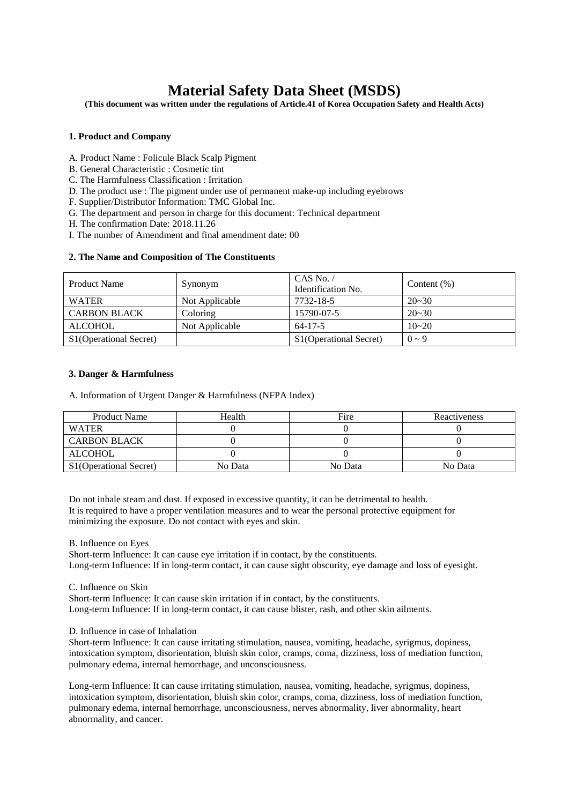# **Material Safety Data Sheet (MSDS)**

**(This document was written under the regulations of Article.41 of Korea Occupation Safety and Health Acts)**

# **1. Product and Company**

- A. Product Name : Folicule Black Scalp Pigment
- B. General Characteristic : Cosmetic tint
- C. The Harmfulness Classification : Irritation
- D. The product use : The pigment under use of permanent make-up including eyebrows
- F. Supplier/Distributor Information: TMC Global Inc.
- G. The department and person in charge for this document: Technical department
- H. The confirmation Date: 2018.11.26
- I. The number of Amendment and final amendment date: 00

# **2. The Name and Composition of The Constituents**

| <b>Product Name</b>    | Synonym        | CAS No. $/$<br>Identification No. | Content $(\%)$ |
|------------------------|----------------|-----------------------------------|----------------|
| <b>WATER</b>           | Not Applicable | 7732-18-5                         | $20 - 30$      |
| <b>CARBON BLACK</b>    | Coloring       | 15790-07-5                        | $20 - 30$      |
| <b>ALCOHOL</b>         | Not Applicable | $64 - 17 - 5$                     | $10 - 20$      |
| S1(Operational Secret) |                | S1(Operational Secret)            | $0 \sim 9$     |

# **3. Danger & Harmfulness**

A. Information of Urgent Danger & Harmfulness (NFPA Index)

| <b>Product Name</b>    | Health  | Fire    | Reactiveness |
|------------------------|---------|---------|--------------|
| <b>WATER</b>           |         |         |              |
| <b>CARBON BLACK</b>    |         |         |              |
| <b>ALCOHOL</b>         |         |         |              |
| S1(Operational Secret) | No Data | No Data | No Data      |

Do not inhale steam and dust. If exposed in excessive quantity, it can be detrimental to health. It is required to have a proper ventilation measures and to wear the personal protective equipment for minimizing the exposure. Do not contact with eyes and skin.

B. Influence on Eyes

Short-term Influence: It can cause eye irritation if in contact, by the constituents. Long-term Influence: If in long-term contact, it can cause sight obscurity, eye damage and loss of eyesight.

### C. Influence on Skin

Short-term Influence: It can cause skin irritation if in contact, by the constituents. Long-term Influence: If in long-term contact, it can cause blister, rash, and other skin ailments.

## D. Influence in case of Inhalation

Short-term Influence: It can cause irritating stimulation, nausea, vomiting, headache, syrigmus, dopiness, intoxication symptom, disorientation, bluish skin color, cramps, coma, dizziness, loss of mediation function, pulmonary edema, internal hemorrhage, and unconsciousness.

Long-term Influence: It can cause irritating stimulation, nausea, vomiting, headache, syrigmus, dopiness, intoxication symptom, disorientation, bluish skin color, cramps, coma, dizziness, loss of mediation function, pulmonary edema, internal hemorrhage, unconsciousness, nerves abnormality, liver abnormality, heart abnormality, and cancer.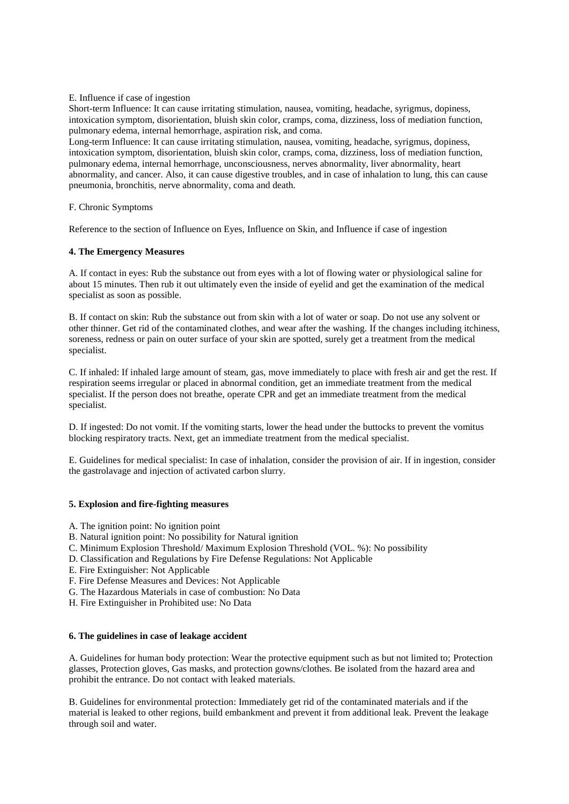# E. Influence if case of ingestion

Short-term Influence: It can cause irritating stimulation, nausea, vomiting, headache, syrigmus, dopiness, intoxication symptom, disorientation, bluish skin color, cramps, coma, dizziness, loss of mediation function, pulmonary edema, internal hemorrhage, aspiration risk, and coma.

Long-term Influence: It can cause irritating stimulation, nausea, vomiting, headache, syrigmus, dopiness, intoxication symptom, disorientation, bluish skin color, cramps, coma, dizziness, loss of mediation function, pulmonary edema, internal hemorrhage, unconsciousness, nerves abnormality, liver abnormality, heart abnormality, and cancer. Also, it can cause digestive troubles, and in case of inhalation to lung, this can cause pneumonia, bronchitis, nerve abnormality, coma and death.

F. Chronic Symptoms

Reference to the section of Influence on Eyes, Influence on Skin, and Influence if case of ingestion

# **4. The Emergency Measures**

A. If contact in eyes: Rub the substance out from eyes with a lot of flowing water or physiological saline for about 15 minutes. Then rub it out ultimately even the inside of eyelid and get the examination of the medical specialist as soon as possible.

B. If contact on skin: Rub the substance out from skin with a lot of water or soap. Do not use any solvent or other thinner. Get rid of the contaminated clothes, and wear after the washing. If the changes including itchiness, soreness, redness or pain on outer surface of your skin are spotted, surely get a treatment from the medical specialist.

C. If inhaled: If inhaled large amount of steam, gas, move immediately to place with fresh air and get the rest. If respiration seems irregular or placed in abnormal condition, get an immediate treatment from the medical specialist. If the person does not breathe, operate CPR and get an immediate treatment from the medical specialist.

D. If ingested: Do not vomit. If the vomiting starts, lower the head under the buttocks to prevent the vomitus blocking respiratory tracts. Next, get an immediate treatment from the medical specialist.

E. Guidelines for medical specialist: In case of inhalation, consider the provision of air. If in ingestion, consider the gastrolavage and injection of activated carbon slurry.

## **5. Explosion and fire-fighting measures**

- A. The ignition point: No ignition point
- B. Natural ignition point: No possibility for Natural ignition
- C. Minimum Explosion Threshold/ Maximum Explosion Threshold (VOL. %): No possibility
- D. Classification and Regulations by Fire Defense Regulations: Not Applicable
- E. Fire Extinguisher: Not Applicable
- F. Fire Defense Measures and Devices: Not Applicable
- G. The Hazardous Materials in case of combustion: No Data
- H. Fire Extinguisher in Prohibited use: No Data

# **6. The guidelines in case of leakage accident**

A. Guidelines for human body protection: Wear the protective equipment such as but not limited to; Protection glasses, Protection gloves, Gas masks, and protection gowns/clothes. Be isolated from the hazard area and prohibit the entrance. Do not contact with leaked materials.

B. Guidelines for environmental protection: Immediately get rid of the contaminated materials and if the material is leaked to other regions, build embankment and prevent it from additional leak. Prevent the leakage through soil and water.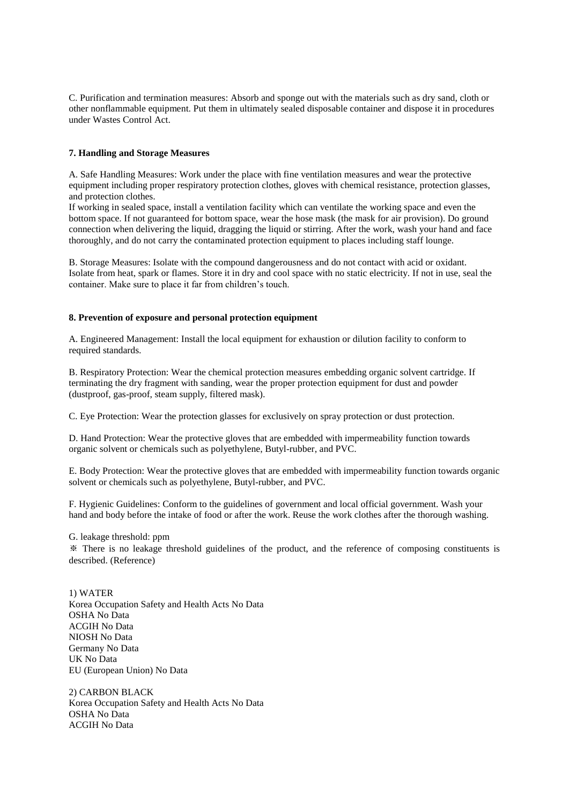C. Purification and termination measures: Absorb and sponge out with the materials such as dry sand, cloth or other nonflammable equipment. Put them in ultimately sealed disposable container and dispose it in procedures under Wastes Control Act.

# **7. Handling and Storage Measures**

A. Safe Handling Measures: Work under the place with fine ventilation measures and wear the protective equipment including proper respiratory protection clothes, gloves with chemical resistance, protection glasses, and protection clothes.

If working in sealed space, install a ventilation facility which can ventilate the working space and even the bottom space. If not guaranteed for bottom space, wear the hose mask (the mask for air provision). Do ground connection when delivering the liquid, dragging the liquid or stirring. After the work, wash your hand and face thoroughly, and do not carry the contaminated protection equipment to places including staff lounge.

B. Storage Measures: Isolate with the compound dangerousness and do not contact with acid or oxidant. Isolate from heat, spark or flames. Store it in dry and cool space with no static electricity. If not in use, seal the container. Make sure to place it far from children's touch.

# **8. Prevention of exposure and personal protection equipment**

A. Engineered Management: Install the local equipment for exhaustion or dilution facility to conform to required standards.

B. Respiratory Protection: Wear the chemical protection measures embedding organic solvent cartridge. If terminating the dry fragment with sanding, wear the proper protection equipment for dust and powder (dustproof, gas-proof, steam supply, filtered mask).

C. Eye Protection: Wear the protection glasses for exclusively on spray protection or dust protection.

D. Hand Protection: Wear the protective gloves that are embedded with impermeability function towards organic solvent or chemicals such as polyethylene, Butyl-rubber, and PVC.

E. Body Protection: Wear the protective gloves that are embedded with impermeability function towards organic solvent or chemicals such as polyethylene, Butyl-rubber, and PVC.

F. Hygienic Guidelines: Conform to the guidelines of government and local official government. Wash your hand and body before the intake of food or after the work. Reuse the work clothes after the thorough washing.

G. leakage threshold: ppm

※ There is no leakage threshold guidelines of the product, and the reference of composing constituents is described. (Reference)

1) WATER Korea Occupation Safety and Health Acts No Data OSHA No Data ACGIH No Data NIOSH No Data Germany No Data UK No Data EU (European Union) No Data

2) CARBON BLACK Korea Occupation Safety and Health Acts No Data OSHA No Data ACGIH No Data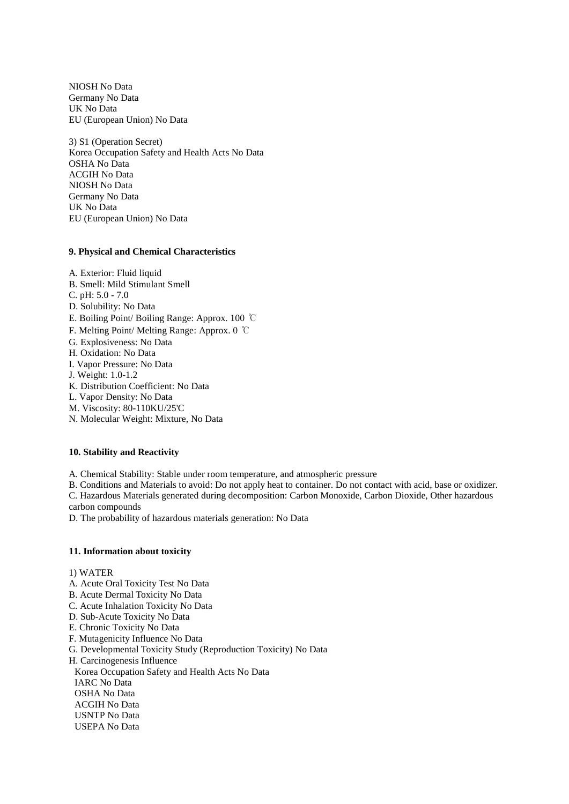NIOSH No Data Germany No Data UK No Data EU (European Union) No Data

3) S1 (Operation Secret) Korea Occupation Safety and Health Acts No Data OSHA No Data ACGIH No Data NIOSH No Data Germany No Data UK No Data EU (European Union) No Data

# **9. Physical and Chemical Characteristics**

A. Exterior: Fluid liquid B. Smell: Mild Stimulant Smell C. pH: 5.0 - 7.0 D. Solubility: No Data E. Boiling Point/ Boiling Range: Approx. 100 ℃ F. Melting Point/ Melting Range: Approx. 0 ℃ G. Explosiveness: No Data H. Oxidation: No Data I. Vapor Pressure: No Data J. Weight: 1.0-1.2 K. Distribution Coefficient: No Data L. Vapor Density: No Data M. Viscosity: 80-110KU/25'C N. Molecular Weight: Mixture, No Data

## **10. Stability and Reactivity**

A. Chemical Stability: Stable under room temperature, and atmospheric pressure

B. Conditions and Materials to avoid: Do not apply heat to container. Do not contact with acid, base or oxidizer. C. Hazardous Materials generated during decomposition: Carbon Monoxide, Carbon Dioxide, Other hazardous carbon compounds

D. The probability of hazardous materials generation: No Data

## **11. Information about toxicity**

### 1) WATER

- A. Acute Oral Toxicity Test No Data
- B. Acute Dermal Toxicity No Data
- C. Acute Inhalation Toxicity No Data
- D. Sub-Acute Toxicity No Data
- E. Chronic Toxicity No Data
- F. Mutagenicity Influence No Data
- G. Developmental Toxicity Study (Reproduction Toxicity) No Data
- H. Carcinogenesis Influence

Korea Occupation Safety and Health Acts No Data

IARC No Data

OSHA No Data

- ACGIH No Data
- USNTP No Data
- USEPA No Data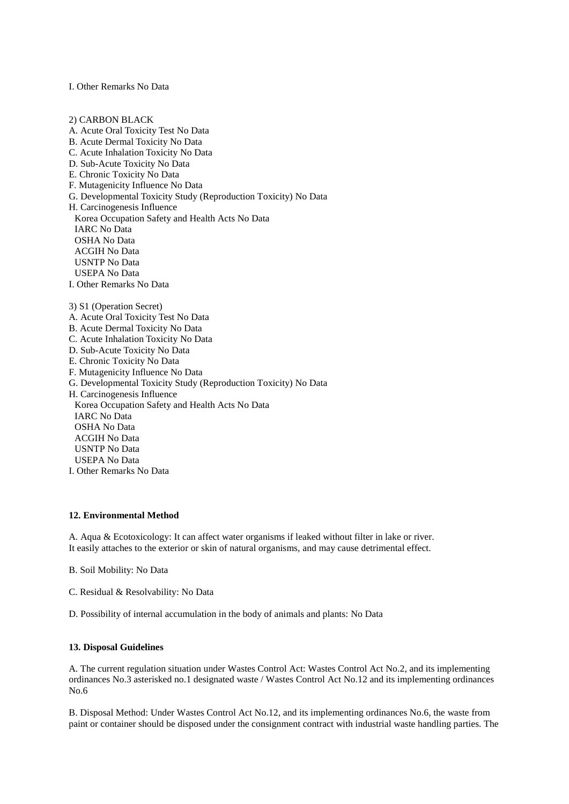I. Other Remarks No Data

2) CARBON BLACK A. Acute Oral Toxicity Test No Data B. Acute Dermal Toxicity No Data C. Acute Inhalation Toxicity No Data D. Sub-Acute Toxicity No Data E. Chronic Toxicity No Data F. Mutagenicity Influence No Data G. Developmental Toxicity Study (Reproduction Toxicity) No Data H. Carcinogenesis Influence Korea Occupation Safety and Health Acts No Data IARC No Data OSHA No Data ACGIH No Data USNTP No Data USEPA No Data I. Other Remarks No Data 3) S1 (Operation Secret) A. Acute Oral Toxicity Test No Data B. Acute Dermal Toxicity No Data C. Acute Inhalation Toxicity No Data D. Sub-Acute Toxicity No Data E. Chronic Toxicity No Data F. Mutagenicity Influence No Data G. Developmental Toxicity Study (Reproduction Toxicity) No Data H. Carcinogenesis Influence Korea Occupation Safety and Health Acts No Data IARC No Data OSHA No Data ACGIH No Data USNTP No Data USEPA No Data I. Other Remarks No Data

### **12. Environmental Method**

A. Aqua & Ecotoxicology: It can affect water organisms if leaked without filter in lake or river. It easily attaches to the exterior or skin of natural organisms, and may cause detrimental effect.

- B. Soil Mobility: No Data
- C. Residual & Resolvability: No Data
- D. Possibility of internal accumulation in the body of animals and plants: No Data

# **13. Disposal Guidelines**

A. The current regulation situation under Wastes Control Act: Wastes Control Act No.2, and its implementing ordinances No.3 asterisked no.1 designated waste / Wastes Control Act No.12 and its implementing ordinances No.6

B. Disposal Method: Under Wastes Control Act No.12, and its implementing ordinances No.6, the waste from paint or container should be disposed under the consignment contract with industrial waste handling parties. The